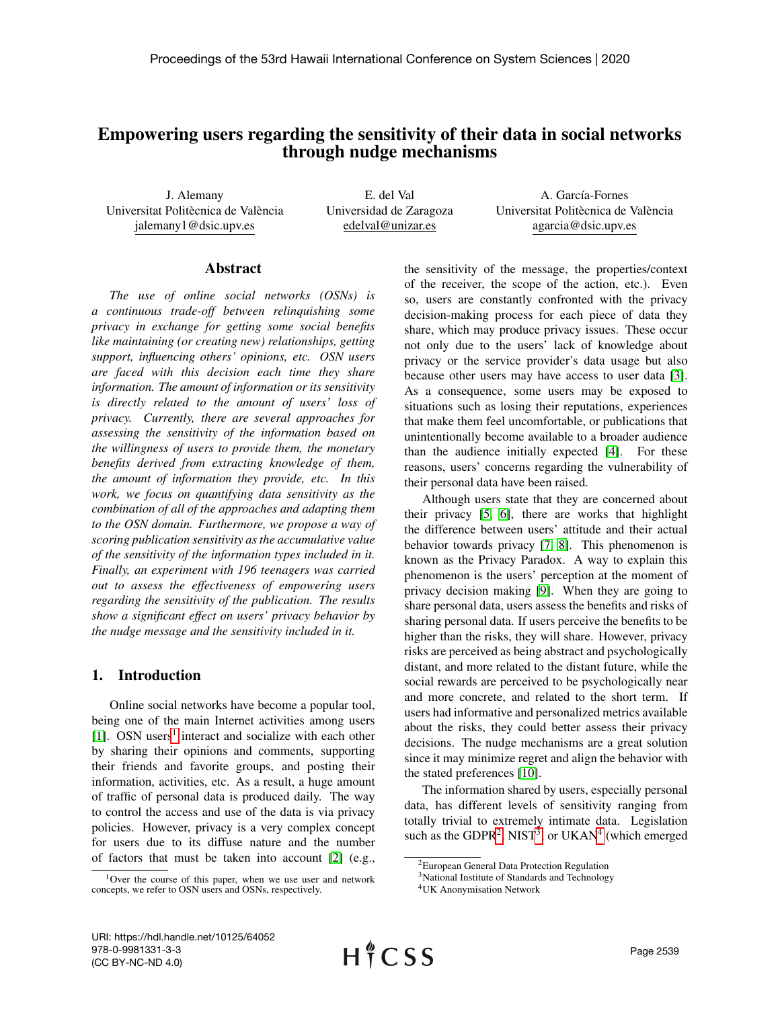# Empowering users regarding the sensitivity of their data in social networks through nudge mechanisms

J. Alemany Universitat Politècnica de València jalemany1@dsic.upv.es

E. del Val Universidad de Zaragoza edelval@unizar.es

A. García-Fornes Universitat Politècnica de València agarcia@dsic.upv.es

#### Abstract

*The use of online social networks (OSNs) is a continuous trade-off between relinquishing some privacy in exchange for getting some social benefits like maintaining (or creating new) relationships, getting support, influencing others' opinions, etc. OSN users are faced with this decision each time they share information. The amount of information or its sensitivity is directly related to the amount of users' loss of privacy. Currently, there are several approaches for assessing the sensitivity of the information based on the willingness of users to provide them, the monetary benefits derived from extracting knowledge of them, the amount of information they provide, etc. In this work, we focus on quantifying data sensitivity as the combination of all of the approaches and adapting them to the OSN domain. Furthermore, we propose a way of scoring publication sensitivity as the accumulative value of the sensitivity of the information types included in it. Finally, an experiment with 196 teenagers was carried out to assess the effectiveness of empowering users regarding the sensitivity of the publication. The results show a significant effect on users' privacy behavior by the nudge message and the sensitivity included in it.*

# 1. Introduction

Online social networks have become a popular tool, being one of the main Internet activities among users [\[1\]](#page-8-0). OSN users<sup>[1](#page-0-0)</sup> interact and socialize with each other by sharing their opinions and comments, supporting their friends and favorite groups, and posting their information, activities, etc. As a result, a huge amount of traffic of personal data is produced daily. The way to control the access and use of the data is via privacy policies. However, privacy is a very complex concept for users due to its diffuse nature and the number of factors that must be taken into account [\[2\]](#page-8-1) (e.g.,

the sensitivity of the message, the properties/context of the receiver, the scope of the action, etc.). Even so, users are constantly confronted with the privacy decision-making process for each piece of data they share, which may produce privacy issues. These occur not only due to the users' lack of knowledge about privacy or the service provider's data usage but also because other users may have access to user data [\[3\]](#page-8-2). As a consequence, some users may be exposed to situations such as losing their reputations, experiences that make them feel uncomfortable, or publications that unintentionally become available to a broader audience than the audience initially expected [\[4\]](#page-8-3). For these reasons, users' concerns regarding the vulnerability of their personal data have been raised.

Although users state that they are concerned about their privacy [\[5,](#page-8-4) [6\]](#page-8-5), there are works that highlight the difference between users' attitude and their actual behavior towards privacy [\[7,](#page-8-6) [8\]](#page-8-7). This phenomenon is known as the Privacy Paradox. A way to explain this phenomenon is the users' perception at the moment of privacy decision making [\[9\]](#page-9-0). When they are going to share personal data, users assess the benefits and risks of sharing personal data. If users perceive the benefits to be higher than the risks, they will share. However, privacy risks are perceived as being abstract and psychologically distant, and more related to the distant future, while the social rewards are perceived to be psychologically near and more concrete, and related to the short term. If users had informative and personalized metrics available about the risks, they could better assess their privacy decisions. The nudge mechanisms are a great solution since it may minimize regret and align the behavior with the stated preferences [\[10\]](#page-9-1).

The information shared by users, especially personal data, has different levels of sensitivity ranging from totally trivial to extremely intimate data. Legislation such as the GDPR<sup>[2](#page-0-1)</sup>, NIST<sup>[3](#page-0-2)</sup>, or UKAN<sup>[4](#page-0-3)</sup> (which emerged

<span id="page-0-0"></span><sup>1</sup>Over the course of this paper, when we use user and network concepts, we refer to OSN users and OSNs, respectively.

<span id="page-0-1"></span><sup>2</sup>European General Data Protection Regulation

<span id="page-0-2"></span><sup>&</sup>lt;sup>3</sup>National Institute of Standards and Technology

<span id="page-0-3"></span><sup>4</sup>UK Anonymisation Network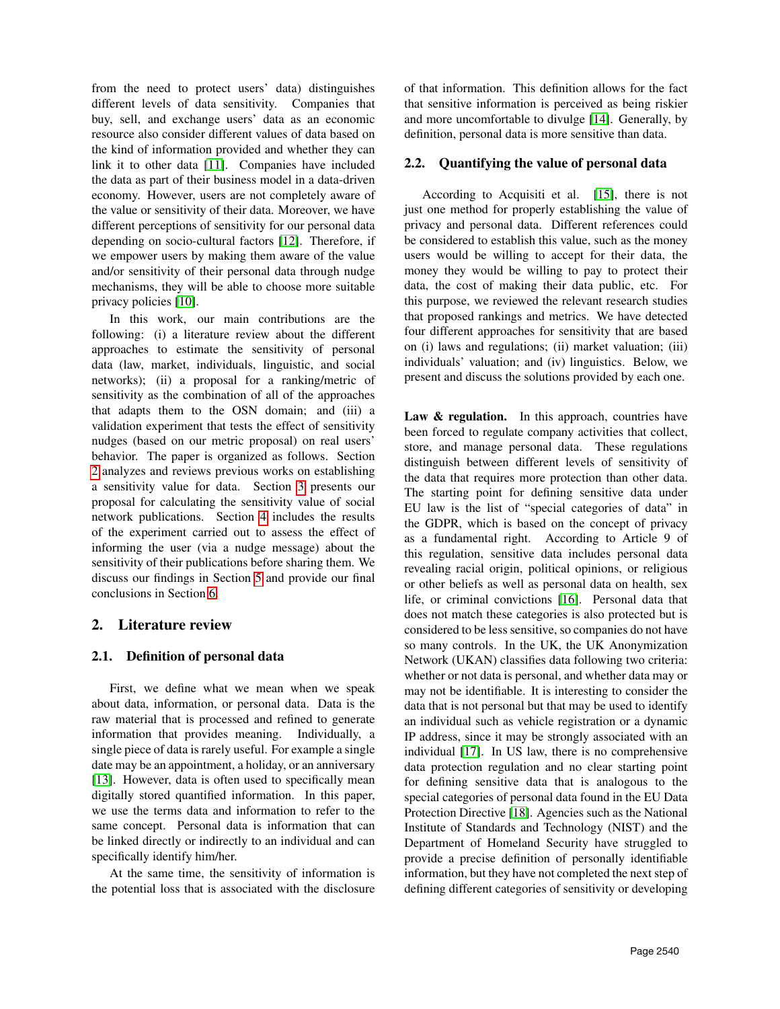from the need to protect users' data) distinguishes different levels of data sensitivity. Companies that buy, sell, and exchange users' data as an economic resource also consider different values of data based on the kind of information provided and whether they can link it to other data [\[11\]](#page-9-2). Companies have included the data as part of their business model in a data-driven economy. However, users are not completely aware of the value or sensitivity of their data. Moreover, we have different perceptions of sensitivity for our personal data depending on socio-cultural factors [\[12\]](#page-9-3). Therefore, if we empower users by making them aware of the value and/or sensitivity of their personal data through nudge mechanisms, they will be able to choose more suitable privacy policies [\[10\]](#page-9-1).

In this work, our main contributions are the following: (i) a literature review about the different approaches to estimate the sensitivity of personal data (law, market, individuals, linguistic, and social networks); (ii) a proposal for a ranking/metric of sensitivity as the combination of all of the approaches that adapts them to the OSN domain; and (iii) a validation experiment that tests the effect of sensitivity nudges (based on our metric proposal) on real users' behavior. The paper is organized as follows. Section [2](#page-1-0) analyzes and reviews previous works on establishing a sensitivity value for data. Section [3](#page-4-0) presents our proposal for calculating the sensitivity value of social network publications. Section [4](#page-6-0) includes the results of the experiment carried out to assess the effect of informing the user (via a nudge message) about the sensitivity of their publications before sharing them. We discuss our findings in Section [5](#page-7-0) and provide our final conclusions in Section [6.](#page-8-8)

# <span id="page-1-0"></span>2. Literature review

# 2.1. Definition of personal data

First, we define what we mean when we speak about data, information, or personal data. Data is the raw material that is processed and refined to generate information that provides meaning. Individually, a single piece of data is rarely useful. For example a single date may be an appointment, a holiday, or an anniversary [\[13\]](#page-9-4). However, data is often used to specifically mean digitally stored quantified information. In this paper, we use the terms data and information to refer to the same concept. Personal data is information that can be linked directly or indirectly to an individual and can specifically identify him/her.

At the same time, the sensitivity of information is the potential loss that is associated with the disclosure of that information. This definition allows for the fact that sensitive information is perceived as being riskier and more uncomfortable to divulge [\[14\]](#page-9-5). Generally, by definition, personal data is more sensitive than data.

### 2.2. Quantifying the value of personal data

According to Acquisiti et al. [\[15\]](#page-9-6), there is not just one method for properly establishing the value of privacy and personal data. Different references could be considered to establish this value, such as the money users would be willing to accept for their data, the money they would be willing to pay to protect their data, the cost of making their data public, etc. For this purpose, we reviewed the relevant research studies that proposed rankings and metrics. We have detected four different approaches for sensitivity that are based on (i) laws and regulations; (ii) market valuation; (iii) individuals' valuation; and (iv) linguistics. Below, we present and discuss the solutions provided by each one.

Law & regulation. In this approach, countries have been forced to regulate company activities that collect, store, and manage personal data. These regulations distinguish between different levels of sensitivity of the data that requires more protection than other data. The starting point for defining sensitive data under EU law is the list of "special categories of data" in the GDPR, which is based on the concept of privacy as a fundamental right. According to Article 9 of this regulation, sensitive data includes personal data revealing racial origin, political opinions, or religious or other beliefs as well as personal data on health, sex life, or criminal convictions [\[16\]](#page-9-7). Personal data that does not match these categories is also protected but is considered to be less sensitive, so companies do not have so many controls. In the UK, the UK Anonymization Network (UKAN) classifies data following two criteria: whether or not data is personal, and whether data may or may not be identifiable. It is interesting to consider the data that is not personal but that may be used to identify an individual such as vehicle registration or a dynamic IP address, since it may be strongly associated with an individual [\[17\]](#page-9-8). In US law, there is no comprehensive data protection regulation and no clear starting point for defining sensitive data that is analogous to the special categories of personal data found in the EU Data Protection Directive [\[18\]](#page-9-9). Agencies such as the National Institute of Standards and Technology (NIST) and the Department of Homeland Security have struggled to provide a precise definition of personally identifiable information, but they have not completed the next step of defining different categories of sensitivity or developing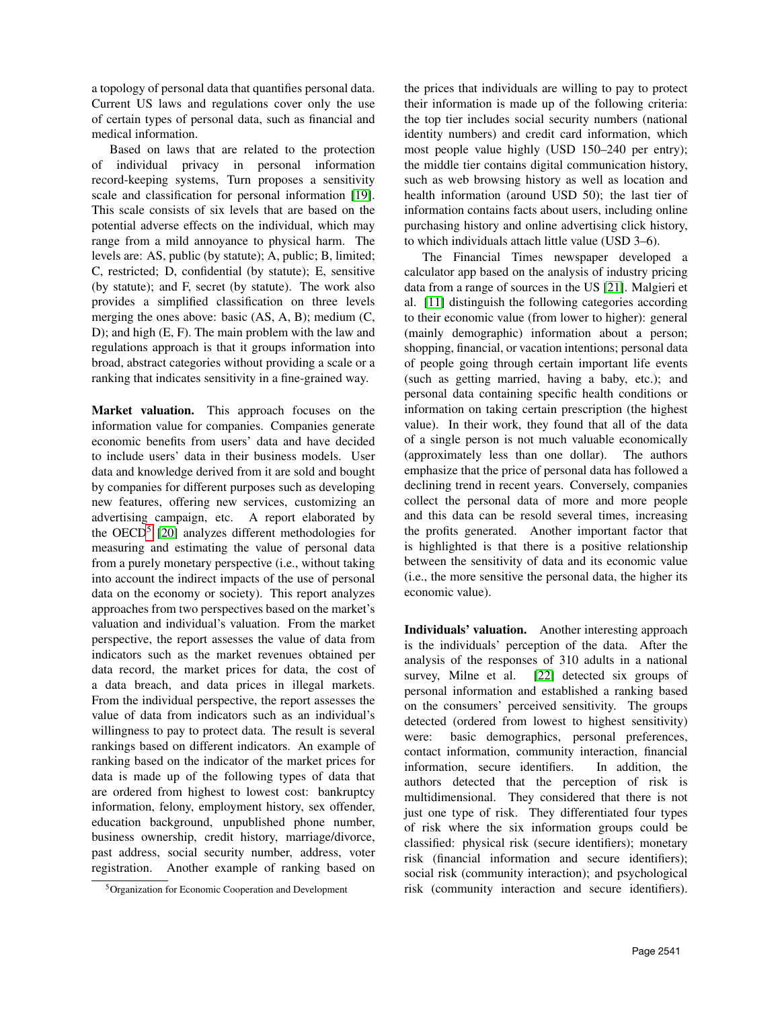a topology of personal data that quantifies personal data. Current US laws and regulations cover only the use of certain types of personal data, such as financial and medical information.

Based on laws that are related to the protection of individual privacy in personal information record-keeping systems, Turn proposes a sensitivity scale and classification for personal information [\[19\]](#page-9-10). This scale consists of six levels that are based on the potential adverse effects on the individual, which may range from a mild annoyance to physical harm. The levels are: AS, public (by statute); A, public; B, limited; C, restricted; D, confidential (by statute); E, sensitive (by statute); and F, secret (by statute). The work also provides a simplified classification on three levels merging the ones above: basic (AS, A, B); medium (C, D); and high (E, F). The main problem with the law and regulations approach is that it groups information into broad, abstract categories without providing a scale or a ranking that indicates sensitivity in a fine-grained way.

Market valuation. This approach focuses on the information value for companies. Companies generate economic benefits from users' data and have decided to include users' data in their business models. User data and knowledge derived from it are sold and bought by companies for different purposes such as developing new features, offering new services, customizing an advertising campaign, etc. A report elaborated by the OECD<sup>[5](#page-2-0)</sup> [\[20\]](#page-9-11) analyzes different methodologies for measuring and estimating the value of personal data from a purely monetary perspective (i.e., without taking into account the indirect impacts of the use of personal data on the economy or society). This report analyzes approaches from two perspectives based on the market's valuation and individual's valuation. From the market perspective, the report assesses the value of data from indicators such as the market revenues obtained per data record, the market prices for data, the cost of a data breach, and data prices in illegal markets. From the individual perspective, the report assesses the value of data from indicators such as an individual's willingness to pay to protect data. The result is several rankings based on different indicators. An example of ranking based on the indicator of the market prices for data is made up of the following types of data that are ordered from highest to lowest cost: bankruptcy information, felony, employment history, sex offender, education background, unpublished phone number, business ownership, credit history, marriage/divorce, past address, social security number, address, voter registration. Another example of ranking based on the prices that individuals are willing to pay to protect their information is made up of the following criteria: the top tier includes social security numbers (national identity numbers) and credit card information, which most people value highly (USD 150–240 per entry); the middle tier contains digital communication history, such as web browsing history as well as location and health information (around USD 50); the last tier of information contains facts about users, including online purchasing history and online advertising click history, to which individuals attach little value (USD 3–6).

The Financial Times newspaper developed a calculator app based on the analysis of industry pricing data from a range of sources in the US [\[21\]](#page-9-12). Malgieri et al. [\[11\]](#page-9-2) distinguish the following categories according to their economic value (from lower to higher): general (mainly demographic) information about a person; shopping, financial, or vacation intentions; personal data of people going through certain important life events (such as getting married, having a baby, etc.); and personal data containing specific health conditions or information on taking certain prescription (the highest value). In their work, they found that all of the data of a single person is not much valuable economically (approximately less than one dollar). The authors emphasize that the price of personal data has followed a declining trend in recent years. Conversely, companies collect the personal data of more and more people and this data can be resold several times, increasing the profits generated. Another important factor that is highlighted is that there is a positive relationship between the sensitivity of data and its economic value (i.e., the more sensitive the personal data, the higher its economic value).

Individuals' valuation. Another interesting approach is the individuals' perception of the data. After the analysis of the responses of 310 adults in a national survey, Milne et al. [\[22\]](#page-9-13) detected six groups of personal information and established a ranking based on the consumers' perceived sensitivity. The groups detected (ordered from lowest to highest sensitivity) were: basic demographics, personal preferences, contact information, community interaction, financial information, secure identifiers. In addition, the authors detected that the perception of risk is multidimensional. They considered that there is not just one type of risk. They differentiated four types of risk where the six information groups could be classified: physical risk (secure identifiers); monetary risk (financial information and secure identifiers); social risk (community interaction); and psychological risk (community interaction and secure identifiers).

<span id="page-2-0"></span><sup>5</sup>Organization for Economic Cooperation and Development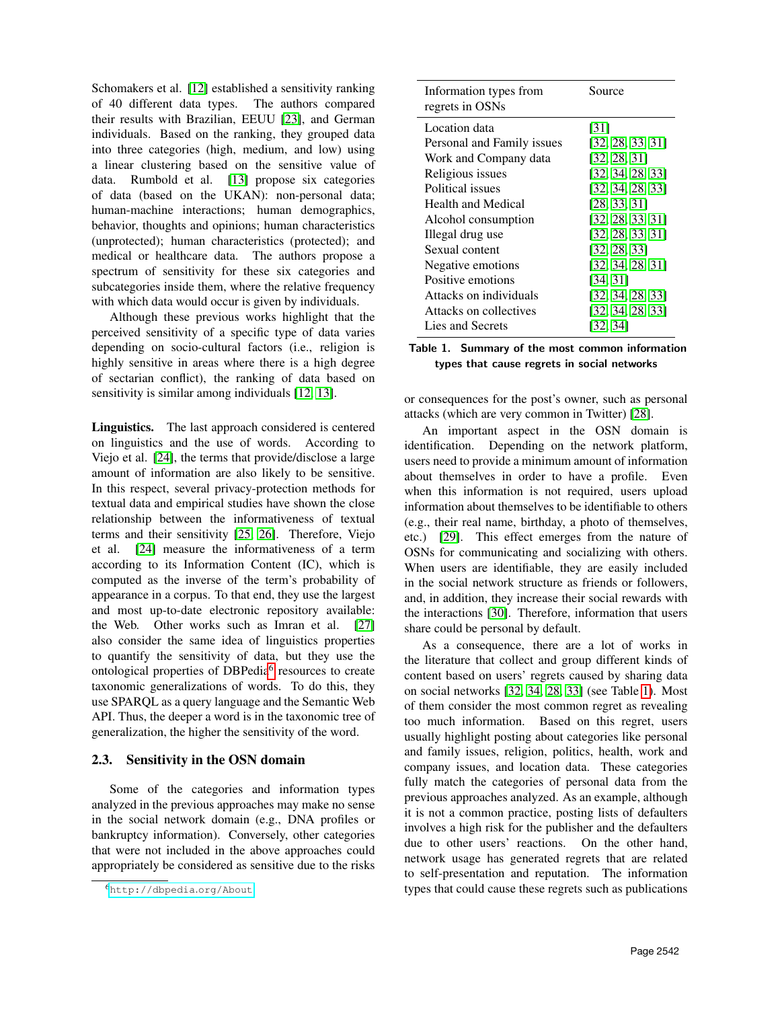Schomakers et al. [\[12\]](#page-9-3) established a sensitivity ranking of 40 different data types. The authors compared their results with Brazilian, EEUU [\[23\]](#page-9-14), and German individuals. Based on the ranking, they grouped data into three categories (high, medium, and low) using a linear clustering based on the sensitive value of data. Rumbold et al. [\[13\]](#page-9-4) propose six categories of data (based on the UKAN): non-personal data; human-machine interactions; human demographics, behavior, thoughts and opinions; human characteristics (unprotected); human characteristics (protected); and medical or healthcare data. The authors propose a spectrum of sensitivity for these six categories and subcategories inside them, where the relative frequency with which data would occur is given by individuals.

Although these previous works highlight that the perceived sensitivity of a specific type of data varies depending on socio-cultural factors (i.e., religion is highly sensitive in areas where there is a high degree of sectarian conflict), the ranking of data based on sensitivity is similar among individuals [\[12,](#page-9-3) [13\]](#page-9-4).

Linguistics. The last approach considered is centered on linguistics and the use of words. According to Viejo et al. [\[24\]](#page-9-15), the terms that provide/disclose a large amount of information are also likely to be sensitive. In this respect, several privacy-protection methods for textual data and empirical studies have shown the close relationship between the informativeness of textual terms and their sensitivity [\[25,](#page-9-16) [26\]](#page-9-17). Therefore, Viejo et al. [\[24\]](#page-9-15) measure the informativeness of a term according to its Information Content (IC), which is computed as the inverse of the term's probability of appearance in a corpus. To that end, they use the largest and most up-to-date electronic repository available: the Web. Other works such as Imran et al. [\[27\]](#page-9-18) also consider the same idea of linguistics properties to quantify the sensitivity of data, but they use the ontological properties of DBPedia<sup>[6](#page-3-0)</sup> resources to create taxonomic generalizations of words. To do this, they use SPARQL as a query language and the Semantic Web API. Thus, the deeper a word is in the taxonomic tree of generalization, the higher the sensitivity of the word.

### 2.3. Sensitivity in the OSN domain

Some of the categories and information types analyzed in the previous approaches may make no sense in the social network domain (e.g., DNA profiles or bankruptcy information). Conversely, other categories that were not included in the above approaches could appropriately be considered as sensitive due to the risks

| Information types from<br>regrets in OSNs | Source           |
|-------------------------------------------|------------------|
| Location data                             | [31]             |
| Personal and Family issues                | [32, 28, 33, 31] |
| Work and Company data                     | [32, 28, 31]     |
| Religious issues                          | [32, 34, 28, 33] |
| Political issues                          | [32, 34, 28, 33] |
| <b>Health and Medical</b>                 | [28.33.31]       |
| Alcohol consumption                       | [32, 28, 33, 31] |
| Illegal drug use                          | [32, 28, 33, 31] |
| Sexual content                            | [32, 28, 33]     |
| Negative emotions                         | [32, 34, 28, 31] |
| Positive emotions                         | [34, 31]         |
| Attacks on individuals                    | [32, 34, 28, 33] |
| Attacks on collectives                    | [32, 34, 28, 33] |
| Lies and Secrets                          | [32, 34]         |

<span id="page-3-1"></span>Table 1. Summary of the most common information types that cause regrets in social networks

or consequences for the post's owner, such as personal attacks (which are very common in Twitter) [\[28\]](#page-9-21).

An important aspect in the OSN domain is identification. Depending on the network platform, users need to provide a minimum amount of information about themselves in order to have a profile. Even when this information is not required, users upload information about themselves to be identifiable to others (e.g., their real name, birthday, a photo of themselves, etc.) [\[29\]](#page-9-24). This effect emerges from the nature of OSNs for communicating and socializing with others. When users are identifiable, they are easily included in the social network structure as friends or followers, and, in addition, they increase their social rewards with the interactions [\[30\]](#page-9-25). Therefore, information that users share could be personal by default.

As a consequence, there are a lot of works in the literature that collect and group different kinds of content based on users' regrets caused by sharing data on social networks [\[32,](#page-9-20) [34,](#page-9-23) [28,](#page-9-21) [33\]](#page-9-22) (see Table [1\)](#page-3-1). Most of them consider the most common regret as revealing too much information. Based on this regret, users usually highlight posting about categories like personal and family issues, religion, politics, health, work and company issues, and location data. These categories fully match the categories of personal data from the previous approaches analyzed. As an example, although it is not a common practice, posting lists of defaulters involves a high risk for the publisher and the defaulters due to other users' reactions. On the other hand, network usage has generated regrets that are related to self-presentation and reputation. The information types that could cause these regrets such as publications

<span id="page-3-0"></span><sup>6</sup>[http://dbpedia](http://dbpedia.org/About).org/About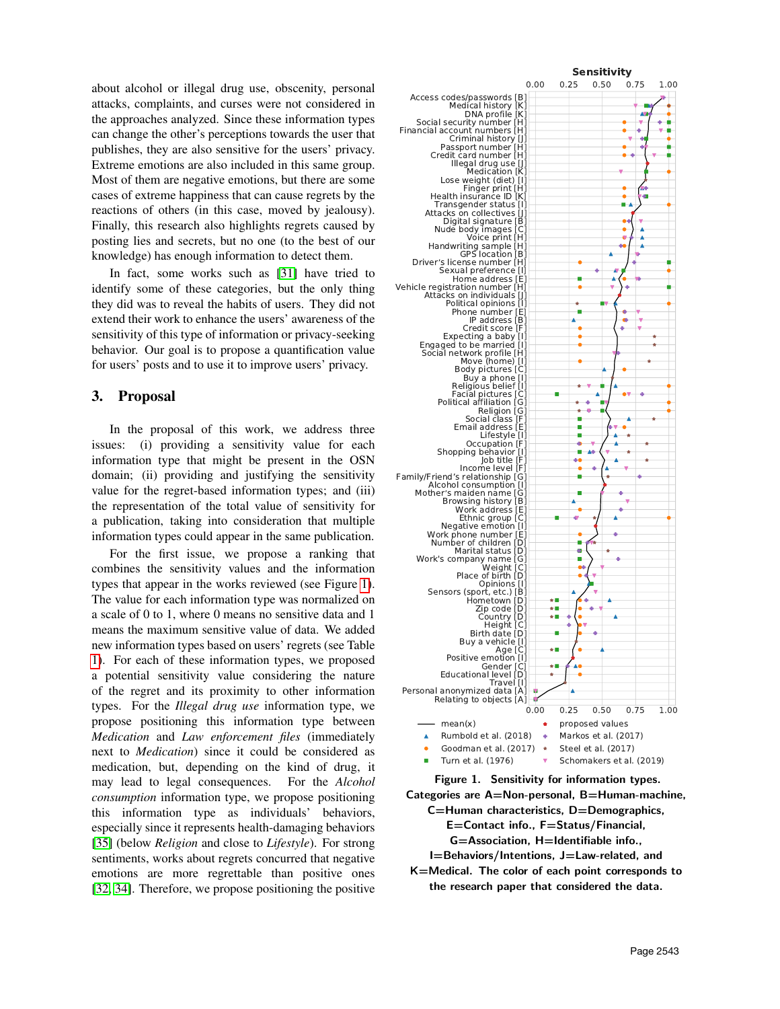about alcohol or illegal drug use, obscenity, personal attacks, complaints, and curses were not considered in the approaches analyzed. Since these information types can change the other's perceptions towards the user that publishes, they are also sensitive for the users' privacy. Extreme emotions are also included in this same group. Most of them are negative emotions, but there are some cases of extreme happiness that can cause regrets by the reactions of others (in this case, moved by jealousy). Finally, this research also highlights regrets caused by posting lies and secrets, but no one (to the best of our knowledge) has enough information to detect them.

In fact, some works such as [\[31\]](#page-9-19) have tried to identify some of these categories, but the only thing they did was to reveal the habits of users. They did not extend their work to enhance the users' awareness of the sensitivity of this type of information or privacy-seeking behavior. Our goal is to propose a quantification value for users' posts and to use it to improve users' privacy.

### <span id="page-4-0"></span>3. Proposal

In the proposal of this work, we address three issues: (i) providing a sensitivity value for each information type that might be present in the OSN domain; (ii) providing and justifying the sensitivity value for the regret-based information types; and (iii) the representation of the total value of sensitivity for a publication, taking into consideration that multiple information types could appear in the same publication.

For the first issue, we propose a ranking that combines the sensitivity values and the information types that appear in the works reviewed (see Figure [1\)](#page-4-1). The value for each information type was normalized on a scale of 0 to 1, where 0 means no sensitive data and 1 means the maximum sensitive value of data. We added new information types based on users' regrets (see Table [1\)](#page-3-1). For each of these information types, we proposed a potential sensitivity value considering the nature of the regret and its proximity to other information types. For the *Illegal drug use* information type, we propose positioning this information type between *Medication* and *Law enforcement files* (immediately next to *Medication*) since it could be considered as medication, but, depending on the kind of drug, it may lead to legal consequences. For the *Alcohol consumption* information type, we propose positioning this information type as individuals' behaviors, especially since it represents health-damaging behaviors [\[35\]](#page-9-26) (below *Religion* and close to *Lifestyle*). For strong sentiments, works about regrets concurred that negative emotions are more regrettable than positive ones [\[32,](#page-9-20) [34\]](#page-9-23). Therefore, we propose positioning the positive



<span id="page-4-1"></span>Categories are A=Non-personal, B=Human-machine, C=Human characteristics, D=Demographics, E=Contact info., F=Status/Financial, G=Association, H=Identifiable info., I=Behaviors/Intentions, J=Law-related, and

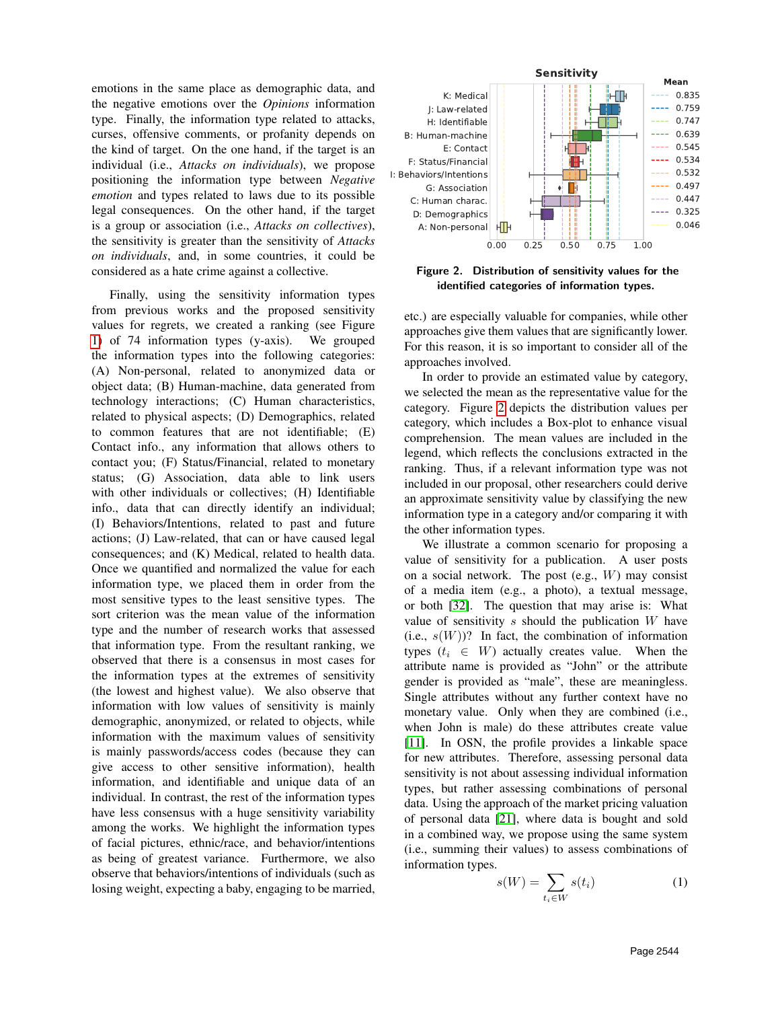emotions in the same place as demographic data, and the negative emotions over the *Opinions* information type. Finally, the information type related to attacks, curses, offensive comments, or profanity depends on the kind of target. On the one hand, if the target is an individual (i.e., *Attacks on individuals*), we propose positioning the information type between *Negative emotion* and types related to laws due to its possible legal consequences. On the other hand, if the target is a group or association (i.e., *Attacks on collectives*), the sensitivity is greater than the sensitivity of *Attacks on individuals*, and, in some countries, it could be considered as a hate crime against a collective.

Finally, using the sensitivity information types from previous works and the proposed sensitivity values for regrets, we created a ranking (see Figure [1\)](#page-4-1) of 74 information types (y-axis). We grouped the information types into the following categories: (A) Non-personal, related to anonymized data or object data; (B) Human-machine, data generated from technology interactions; (C) Human characteristics, related to physical aspects; (D) Demographics, related to common features that are not identifiable; (E) Contact info., any information that allows others to contact you; (F) Status/Financial, related to monetary status; (G) Association, data able to link users with other individuals or collectives; (H) Identifiable info., data that can directly identify an individual; (I) Behaviors/Intentions, related to past and future actions; (J) Law-related, that can or have caused legal consequences; and (K) Medical, related to health data. Once we quantified and normalized the value for each information type, we placed them in order from the most sensitive types to the least sensitive types. The sort criterion was the mean value of the information type and the number of research works that assessed that information type. From the resultant ranking, we observed that there is a consensus in most cases for the information types at the extremes of sensitivity (the lowest and highest value). We also observe that information with low values of sensitivity is mainly demographic, anonymized, or related to objects, while information with the maximum values of sensitivity is mainly passwords/access codes (because they can give access to other sensitive information), health information, and identifiable and unique data of an individual. In contrast, the rest of the information types have less consensus with a huge sensitivity variability among the works. We highlight the information types of facial pictures, ethnic/race, and behavior/intentions as being of greatest variance. Furthermore, we also observe that behaviors/intentions of individuals (such as losing weight, expecting a baby, engaging to be married,



<span id="page-5-0"></span>Figure 2. Distribution of sensitivity values for the identified categories of information types.

etc.) are especially valuable for companies, while other approaches give them values that are significantly lower. For this reason, it is so important to consider all of the approaches involved.

In order to provide an estimated value by category, we selected the mean as the representative value for the category. Figure [2](#page-5-0) depicts the distribution values per category, which includes a Box-plot to enhance visual comprehension. The mean values are included in the legend, which reflects the conclusions extracted in the ranking. Thus, if a relevant information type was not included in our proposal, other researchers could derive an approximate sensitivity value by classifying the new information type in a category and/or comparing it with the other information types.

We illustrate a common scenario for proposing a value of sensitivity for a publication. A user posts on a social network. The post  $(e.g., W)$  may consist of a media item (e.g., a photo), a textual message, or both [\[32\]](#page-9-20). The question that may arise is: What value of sensitivity  $s$  should the publication  $W$  have (i.e.,  $s(W)$ )? In fact, the combination of information types  $(t_i \in W)$  actually creates value. When the attribute name is provided as "John" or the attribute gender is provided as "male", these are meaningless. Single attributes without any further context have no monetary value. Only when they are combined (i.e., when John is male) do these attributes create value [\[11\]](#page-9-2). In OSN, the profile provides a linkable space for new attributes. Therefore, assessing personal data sensitivity is not about assessing individual information types, but rather assessing combinations of personal data. Using the approach of the market pricing valuation of personal data [\[21\]](#page-9-12), where data is bought and sold in a combined way, we propose using the same system (i.e., summing their values) to assess combinations of information types.

<span id="page-5-1"></span>
$$
s(W) = \sum_{t_i \in W} s(t_i) \tag{1}
$$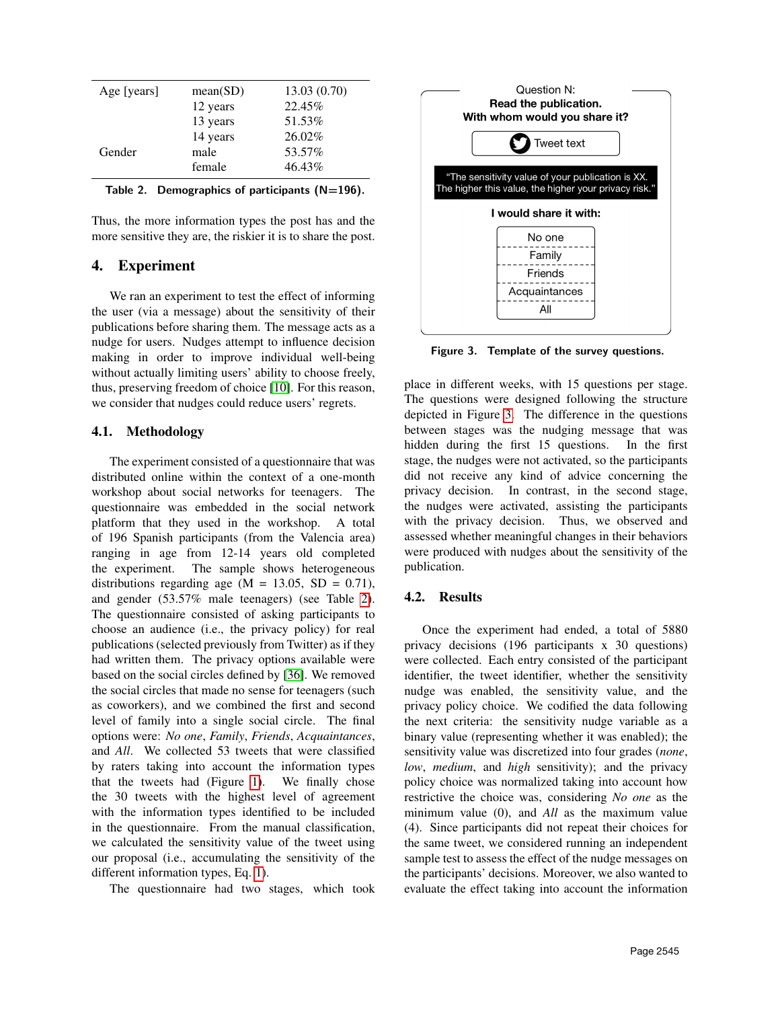| Age [years] | mean(SD) | 13.03(0.70) |
|-------------|----------|-------------|
|             | 12 years | 22.45%      |
|             | 13 years | 51.53%      |
|             | 14 years | 26.02%      |
| Gender      | male     | 53.57%      |
|             | female   | 46.43%      |

<span id="page-6-1"></span>

| Table 2. Demographics of participants $(N=196)$ . |  |  |  |  |
|---------------------------------------------------|--|--|--|--|
|---------------------------------------------------|--|--|--|--|

Thus, the more information types the post has and the more sensitive they are, the riskier it is to share the post.

# <span id="page-6-0"></span>4. Experiment

We ran an experiment to test the effect of informing the user (via a message) about the sensitivity of their publications before sharing them. The message acts as a nudge for users. Nudges attempt to influence decision making in order to improve individual well-being without actually limiting users' ability to choose freely, thus, preserving freedom of choice [\[10\]](#page-9-1). For this reason, we consider that nudges could reduce users' regrets.

#### 4.1. Methodology

The experiment consisted of a questionnaire that was distributed online within the context of a one-month workshop about social networks for teenagers. The questionnaire was embedded in the social network platform that they used in the workshop. A total of 196 Spanish participants (from the Valencia area) ranging in age from 12-14 years old completed the experiment. The sample shows heterogeneous distributions regarding age  $(M = 13.05, SD = 0.71)$ , and gender (53.57% male teenagers) (see Table [2\)](#page-6-1). The questionnaire consisted of asking participants to choose an audience (i.e., the privacy policy) for real publications (selected previously from Twitter) as if they had written them. The privacy options available were based on the social circles defined by [\[36\]](#page-9-27). We removed the social circles that made no sense for teenagers (such as coworkers), and we combined the first and second level of family into a single social circle. The final options were: *No one*, *Family*, *Friends*, *Acquaintances*, and *All*. We collected 53 tweets that were classified by raters taking into account the information types that the tweets had (Figure [1\)](#page-4-1). We finally chose the 30 tweets with the highest level of agreement with the information types identified to be included in the questionnaire. From the manual classification, we calculated the sensitivity value of the tweet using our proposal (i.e., accumulating the sensitivity of the different information types, Eq. [1\)](#page-5-1).

The questionnaire had two stages, which took



<span id="page-6-2"></span>Figure 3. Template of the survey questions.

place in different weeks, with 15 questions per stage. The questions were designed following the structure depicted in Figure [3.](#page-6-2) The difference in the questions between stages was the nudging message that was hidden during the first 15 questions. In the first stage, the nudges were not activated, so the participants did not receive any kind of advice concerning the privacy decision. In contrast, in the second stage, the nudges were activated, assisting the participants with the privacy decision. Thus, we observed and assessed whether meaningful changes in their behaviors were produced with nudges about the sensitivity of the publication.

#### 4.2. Results

Once the experiment had ended, a total of 5880 privacy decisions (196 participants x 30 questions) were collected. Each entry consisted of the participant identifier, the tweet identifier, whether the sensitivity nudge was enabled, the sensitivity value, and the privacy policy choice. We codified the data following the next criteria: the sensitivity nudge variable as a binary value (representing whether it was enabled); the sensitivity value was discretized into four grades (*none*, *low*, *medium*, and *high* sensitivity); and the privacy policy choice was normalized taking into account how restrictive the choice was, considering *No one* as the minimum value (0), and *All* as the maximum value (4). Since participants did not repeat their choices for the same tweet, we considered running an independent sample test to assess the effect of the nudge messages on the participants' decisions. Moreover, we also wanted to evaluate the effect taking into account the information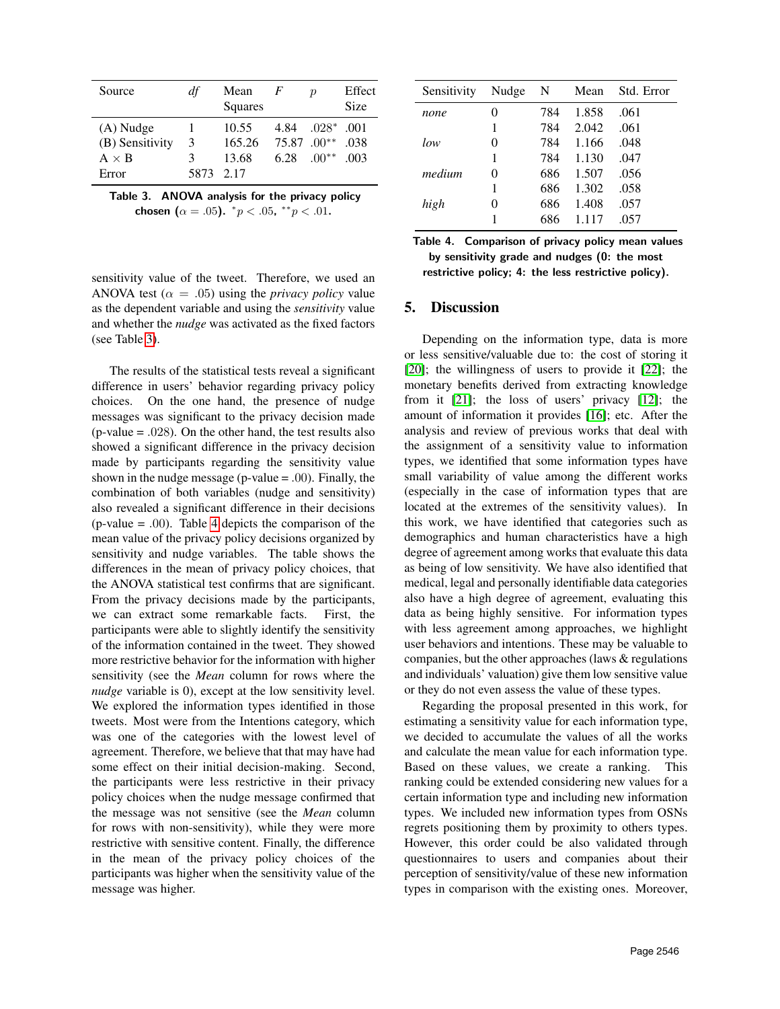| Source          | df        | Mean<br>Squares | F                     | $\boldsymbol{p}$ | Effect<br>Size |
|-----------------|-----------|-----------------|-----------------------|------------------|----------------|
| (A) Nudge       |           | 10.55           | 4.84                  | $.028*$          | 001            |
| (B) Sensitivity | 3         | 165.26          | $75.87 \cdot 00^{**}$ |                  | .038           |
| $A \times B$    | 3         | 13.68           | 6.28                  | $.00**$          | -003           |
| Error           | 5873 2.17 |                 |                       |                  |                |

<span id="page-7-1"></span>

| Table 3. ANOVA analysis for the privacy policy |                                                                           |  |  |
|------------------------------------------------|---------------------------------------------------------------------------|--|--|
|                                                | chosen $(\alpha = .05)$ . $\degree p < .05$ , $\degree \degree p < .01$ . |  |  |

Sensitivity Nudge N Mean Std. Error *none* 0 784 1.858 .061 1 784 2.042 .061 *low* 0 784 1.166 .048 1 784 1.130 .047 *medium* 0 686 1.507 .056 1 686 1.302 .058 *high* 0 686 1.408 .057 1 686 1.117 .057

<span id="page-7-2"></span>

| Table 4. Comparison of privacy policy mean values    |
|------------------------------------------------------|
| by sensitivity grade and nudges (0: the most         |
| restrictive policy; 4: the less restrictive policy). |

# <span id="page-7-0"></span>5. Discussion

Depending on the information type, data is more or less sensitive/valuable due to: the cost of storing it [\[20\]](#page-9-11); the willingness of users to provide it [\[22\]](#page-9-13); the monetary benefits derived from extracting knowledge from it [\[21\]](#page-9-12); the loss of users' privacy [\[12\]](#page-9-3); the amount of information it provides [\[16\]](#page-9-7); etc. After the analysis and review of previous works that deal with the assignment of a sensitivity value to information types, we identified that some information types have small variability of value among the different works (especially in the case of information types that are located at the extremes of the sensitivity values). In this work, we have identified that categories such as demographics and human characteristics have a high degree of agreement among works that evaluate this data as being of low sensitivity. We have also identified that medical, legal and personally identifiable data categories also have a high degree of agreement, evaluating this data as being highly sensitive. For information types with less agreement among approaches, we highlight user behaviors and intentions. These may be valuable to companies, but the other approaches (laws & regulations and individuals' valuation) give them low sensitive value or they do not even assess the value of these types.

Regarding the proposal presented in this work, for estimating a sensitivity value for each information type, we decided to accumulate the values of all the works and calculate the mean value for each information type. Based on these values, we create a ranking. This ranking could be extended considering new values for a certain information type and including new information types. We included new information types from OSNs regrets positioning them by proximity to others types. However, this order could be also validated through questionnaires to users and companies about their perception of sensitivity/value of these new information types in comparison with the existing ones. Moreover,

sensitivity value of the tweet. Therefore, we used an ANOVA test ( $\alpha = .05$ ) using the *privacy policy* value as the dependent variable and using the *sensitivity* value and whether the *nudge* was activated as the fixed factors (see Table [3\)](#page-7-1).

The results of the statistical tests reveal a significant difference in users' behavior regarding privacy policy choices. On the one hand, the presence of nudge messages was significant to the privacy decision made (p-value = .028). On the other hand, the test results also showed a significant difference in the privacy decision made by participants regarding the sensitivity value shown in the nudge message ( $p$ -value = .00). Finally, the combination of both variables (nudge and sensitivity) also revealed a significant difference in their decisions (p-value = .00). Table [4](#page-7-2) depicts the comparison of the mean value of the privacy policy decisions organized by sensitivity and nudge variables. The table shows the differences in the mean of privacy policy choices, that the ANOVA statistical test confirms that are significant. From the privacy decisions made by the participants, we can extract some remarkable facts. First, the participants were able to slightly identify the sensitivity of the information contained in the tweet. They showed more restrictive behavior for the information with higher sensitivity (see the *Mean* column for rows where the *nudge* variable is 0), except at the low sensitivity level. We explored the information types identified in those tweets. Most were from the Intentions category, which was one of the categories with the lowest level of agreement. Therefore, we believe that that may have had some effect on their initial decision-making. Second, the participants were less restrictive in their privacy policy choices when the nudge message confirmed that the message was not sensitive (see the *Mean* column for rows with non-sensitivity), while they were more restrictive with sensitive content. Finally, the difference in the mean of the privacy policy choices of the participants was higher when the sensitivity value of the message was higher.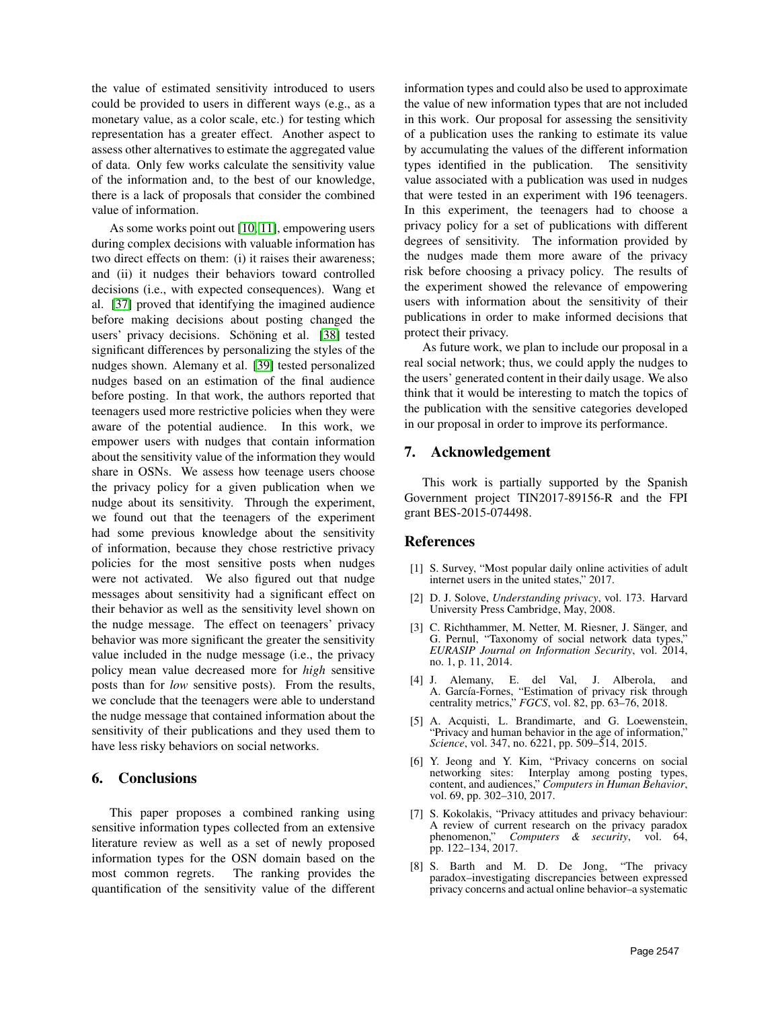the value of estimated sensitivity introduced to users could be provided to users in different ways (e.g., as a monetary value, as a color scale, etc.) for testing which representation has a greater effect. Another aspect to assess other alternatives to estimate the aggregated value of data. Only few works calculate the sensitivity value of the information and, to the best of our knowledge, there is a lack of proposals that consider the combined value of information.

As some works point out [\[10,](#page-9-1) [11\]](#page-9-2), empowering users during complex decisions with valuable information has two direct effects on them: (i) it raises their awareness; and (ii) it nudges their behaviors toward controlled decisions (i.e., with expected consequences). Wang et al. [\[37\]](#page-9-28) proved that identifying the imagined audience before making decisions about posting changed the users' privacy decisions. Schöning et al. [\[38\]](#page-9-29) tested significant differences by personalizing the styles of the nudges shown. Alemany et al. [\[39\]](#page-9-30) tested personalized nudges based on an estimation of the final audience before posting. In that work, the authors reported that teenagers used more restrictive policies when they were aware of the potential audience. In this work, we empower users with nudges that contain information about the sensitivity value of the information they would share in OSNs. We assess how teenage users choose the privacy policy for a given publication when we nudge about its sensitivity. Through the experiment, we found out that the teenagers of the experiment had some previous knowledge about the sensitivity of information, because they chose restrictive privacy policies for the most sensitive posts when nudges were not activated. We also figured out that nudge messages about sensitivity had a significant effect on their behavior as well as the sensitivity level shown on the nudge message. The effect on teenagers' privacy behavior was more significant the greater the sensitivity value included in the nudge message (i.e., the privacy policy mean value decreased more for *high* sensitive posts than for *low* sensitive posts). From the results, we conclude that the teenagers were able to understand the nudge message that contained information about the sensitivity of their publications and they used them to have less risky behaviors on social networks.

### <span id="page-8-8"></span>6. Conclusions

This paper proposes a combined ranking using sensitive information types collected from an extensive literature review as well as a set of newly proposed information types for the OSN domain based on the most common regrets. The ranking provides the quantification of the sensitivity value of the different information types and could also be used to approximate the value of new information types that are not included in this work. Our proposal for assessing the sensitivity of a publication uses the ranking to estimate its value by accumulating the values of the different information types identified in the publication. The sensitivity value associated with a publication was used in nudges that were tested in an experiment with 196 teenagers. In this experiment, the teenagers had to choose a privacy policy for a set of publications with different degrees of sensitivity. The information provided by the nudges made them more aware of the privacy risk before choosing a privacy policy. The results of the experiment showed the relevance of empowering users with information about the sensitivity of their publications in order to make informed decisions that protect their privacy.

As future work, we plan to include our proposal in a real social network; thus, we could apply the nudges to the users' generated content in their daily usage. We also think that it would be interesting to match the topics of the publication with the sensitive categories developed in our proposal in order to improve its performance.

#### 7. Acknowledgement

This work is partially supported by the Spanish Government project TIN2017-89156-R and the FPI grant BES-2015-074498.

### References

- <span id="page-8-0"></span>[1] S. Survey, "Most popular daily online activities of adult internet users in the united states," 2017.
- <span id="page-8-1"></span>[2] D. J. Solove, *Understanding privacy*, vol. 173. Harvard University Press Cambridge, May, 2008.
- <span id="page-8-2"></span>[3] C. Richthammer, M. Netter, M. Riesner, J. Sänger, and G. Pernul, "Taxonomy of social network data types," *EURASIP Journal on Information Security*, vol. 2014, no. 1, p. 11, 2014.
- <span id="page-8-3"></span>[4] J. Alemany, E. del Val, J. Alberola, and A. García-Fornes, "Estimation of privacy risk through centrality metrics," *FGCS*, vol. 82, pp. 63–76, 2018.
- <span id="page-8-4"></span>[5] A. Acquisti, L. Brandimarte, and G. Loewenstein, "Privacy and human behavior in the age of information," *Science*, vol. 347, no. 6221, pp. 509–514, 2015.
- <span id="page-8-5"></span>[6] Y. Jeong and Y. Kim, "Privacy concerns on social networking sites: Interplay among posting types, content, and audiences," *Computers in Human Behavior*, vol. 69, pp. 302–310, 2017.
- <span id="page-8-6"></span>[7] S. Kokolakis, "Privacy attitudes and privacy behaviour: A review of current research on the privacy paradox phenomenon," *Computers & security*, vol. 64, pp. 122–134, 2017.
- <span id="page-8-7"></span>[8] S. Barth and M. D. De Jong, "The privacy paradox–investigating discrepancies between expressed privacy concerns and actual online behavior–a systematic